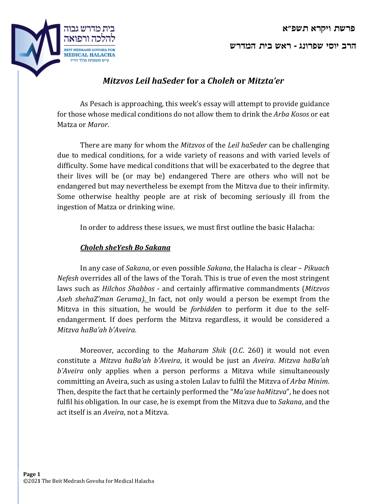**ברה יסוי גנורפש - שאר תיב שרדמה**



## *Mitzvos Leil haSeder* **for a** *Choleh* **or** *Mitzta'er*

As Pesach is approaching, this week's essay will attempt to provide guidance for those whose medical conditions do not allow them to drink the *Arba Kosos* or eat Matza or *Maror*.

There are many for whom the *Mitzvos* of the *Leil haSeder* can be challenging due to medical conditions, for a wide variety of reasons and with varied levels of difficulty. Some have medical conditions that will be exacerbated to the degree that their lives will be (or may be) endangered There are others who will not be endangered but may nevertheless be exempt from the Mitzva due to their infirmity. Some otherwise healthy people are at risk of becoming seriously ill from the ingestion of Matza or drinking wine.

In order to address these issues, we must first outline the basic Halacha:

## *Choleh sheYesh Bo Sakana*

In any case of *Sakana*, or even possible *Sakana*, the Halacha is clear – *Pikuach Nefesh* overrides all of the laws of the Torah. This is true of even the most stringent laws such as *Hilchos Shabbos* - and certainly affirmative commandments (*Mitzvos* Aseh shehaZ'man Gerama). In fact, not only would a person be exempt from the Mitzva in this situation, he would be *forbidden* to perform it due to the selfendangerment. If does perform the Mitzva regardless, it would be considered a *Mitzva haBa'ah b'Aveira*.

Moreover, according to the *Maharam Shik* (*O.C.* 260) it would not even constitute a *Mitzva haBa'ah b'Aveira*, it would be just an *Aveira*. *Mitzva haBa'ah b'Aveira* only applies when a person performs a Mitzva while simultaneously committing an Aveira, such as using a stolen Lulav to fulfil the Mitzva of *Arba Minim*. Then, despite the fact that he certainly performed the "*Ma'ase haMitzva*", he does not fulfil his obligation. In our case, he is exempt from the Mitzva due to *Sakana*, and the act itself is an *Aveira*, not a Mitzva.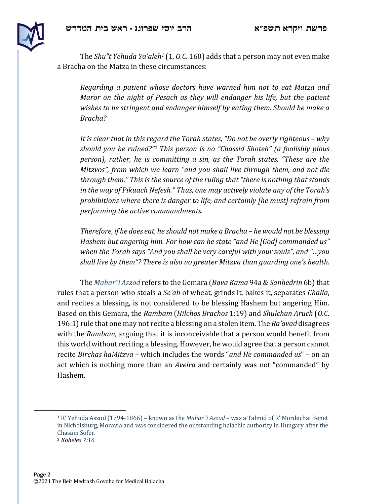



The *Shu"t Yehuda Ya'aleh<sup>1</sup>* (1, *O.C.* 160) adds that a person may not even make a Bracha on the Matza in these circumstances:

*Regarding a patient whose doctors have warned him not to eat Matza and Maror* on the night of Pesach as they will endanger his life, but the patient *wishes to be stringent and endanger himself by eating them. Should he make a Bracha?*

*It* is clear that in this regard the Torah states, "Do not be overly righteous – why *should you be ruined?"* This person is no "Chassid Shoteh" (a foolishly pious *person), rather, he is committing a sin, as the Torah states, "These are the Mitzvos", from which we learn "and you shall live through them, and not die through them."* This is the source of the ruling that "there is nothing that stands *in* the way of Pikuach Nefesh." Thus, one may actively violate any of the Torah's *prohibitions* where there is danger to life, and certainly [he must] refrain from *performing the active commandments.*

*Therefore, if he does eat, he should not make a Bracha – he would not be blessing Hashem but angering him. For how can he state "and He [God] commanded us"* when the Torah says "And you shall be very careful with your souls", and "...you *shall live by them"? There is also no greater Mitzva than guarding one's health.* 

The *Mahar"i Aszod* refers to the Gemara (*Bava Kama* 94a & *Sanhedrin* 6b) that rules that a person who steals a *Se'ah* of wheat, grinds it, bakes it, separates *Challa*, and recites a blessing, is not considered to be blessing Hashem but angering Him. Based on this Gemara, the Rambam (Hilchos Brachos 1:19) and Shulchan Aruch (O.C. 196:1) rule that one may not recite a blessing on a stolen item. The *Ra'avad* disagrees with the *Rambam*, arguing that it is inconceivable that a person would benefit from this world without reciting a blessing. However, he would agree that a person cannot recite *Birchas haMitzva* – which includes the words "*and He commanded us*" – on an act which is nothing more than an *Aveira* and certainly was not "commanded" by Hashem.

<sup>&</sup>lt;sup>1</sup> R' Yehuda Aszod (1794-1866) – known as the *Mahar"i Aszod* – was a Talmid of R' Mordechai Benet in Nicholsburg, Moravia and was considered the outstanding halachic authority in Hungary after the Chasam Sofer. <sup>2</sup> *Koheles 7:16*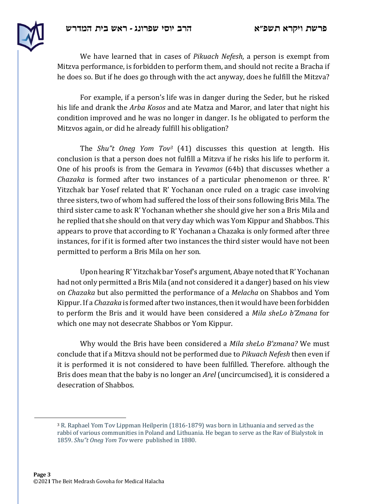



We have learned that in cases of *Pikuach Nefesh*, a person is exempt from Mitzva performance, is forbidden to perform them, and should not recite a Bracha if he does so. But if he does go through with the act anyway, does he fulfill the Mitzva?

For example, if a person's life was in danger during the Seder, but he risked his life and drank the *Arba Kosos* and ate Matza and Maror, and later that night his condition improved and he was no longer in danger. Is he obligated to perform the Mitzvos again, or did he already fulfill his obligation?

The *Shu"t* Oneg Yom Tov<sup>3</sup> (41) discusses this question at length. His conclusion is that a person does not fulfill a Mitzva if he risks his life to perform it. One of his proofs is from the Gemara in *Yevamos* (64b) that discusses whether a *Chazaka* is formed after two instances of a particular phenomenon or three. R' Yitzchak bar Yosef related that R' Yochanan once ruled on a tragic case involving three sisters, two of whom had suffered the loss of their sons following Bris Mila. The third sister came to ask R' Yochanan whether she should give her son a Bris Mila and he replied that she should on that very day which was Yom Kippur and Shabbos. This appears to prove that according to  $R'$  Yochanan a Chazaka is only formed after three instances, for if it is formed after two instances the third sister would have not been permitted to perform a Bris Mila on her son.

Upon hearing R' Yitzchak bar Yosef's argument, Abaye noted that R' Yochanan had not only permitted a Bris Mila (and not considered it a danger) based on his view on *Chazaka* but also permitted the performance of a *Melacha* on Shabbos and Yom Kippur. If a *Chazaka* is formed after two instances, then it would have been forbidden to perform the Bris and it would have been considered a *Mila sheLo b'Zmana* for which one may not desecrate Shabbos or Yom Kippur.

Why would the Bris have been considered a *Mila sheLo B'zmana?* We must conclude that if a Mitzva should not be performed due to *Pikuach Nefesh* then even if it is performed it is not considered to have been fulfilled. Therefore. although the Bris does mean that the baby is no longer an *Arel* (uncircumcised), it is considered a desecration of Shabbos.

 $3$  R. Raphael Yom Tov Lippman Heilperin (1816-1879) was born in Lithuania and served as the rabbi of various communities in Poland and Lithuania. He began to serve as the Rav of Bialystok in 1859. *Shu"t Oneg Yom Tov* were published in 1880.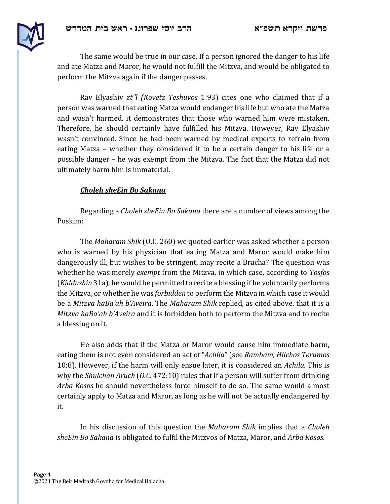

The same would be true in our case. If a person ignored the danger to his life and ate Matza and Maror, he would not fulfill the Mitzva, and would be obligated to perform the Mitzva again if the danger passes.

Rav Elyashiv *zt"l* (Kovetz Teshuvos 1:93) cites one who claimed that if a person was warned that eating Matza would endanger his life but who ate the Matza and wasn't harmed, it demonstrates that those who warned him were mistaken. Therefore, he should certainly have fulfilled his Mitzva. However, Rav Elyashiv wasn't convinced. Since he had been warned by medical experts to refrain from eating Matza – whether they considered it to be a certain danger to his life or a possible danger – he was exempt from the Mitzva. The fact that the Matza did not ultimately harm him is immaterial.

## *Choleh sheEin Bo Sakana*

Regarding a *Choleh sheEin Bo Sakana* there are a number of views among the Poskim:

The *Maharam Shik* (O.C. 260) we quoted earlier was asked whether a person who is warned by his physician that eating Matza and Maror would make him dangerously ill, but wishes to be stringent, may recite a Bracha? The question was whether he was merely *exempt* from the Mitzva, in which case, according to *Tosfos* (*Kiddushin* 31a), he would be permitted to recite a blessing if he voluntarily performs the Mitzva, or whether he was *forbidden* to perform the Mitzva in which case it would be a *Mitzva haBa'ah b'Aveira*. The *Maharam Shik* replied, as cited above, that it is a *Mitzva haBa'ah b'Aveira* and it is forbidden both to perform the Mitzva and to recite a blessing on it.

He also adds that if the Matza or Maror would cause him immediate harm, eating them is not even considered an act of "Achila" (see *Rambam*, *Hilchos Terumos* 10:8). However, if the harm will only ensue later, it is considered an *Achila*. This is why the *Shulchan Aruch* (*O.C.* 472:10) rules that if a person will suffer from drinking *Arba Kosos* he should nevertheless force himself to do so. The same would almost certainly apply to Matza and Maror, as long as he will not be actually endangered by it.

In his discussion of this question the *Maharam Shik* implies that a *Choleh* sheEin Bo Sakana is obligated to fulfil the Mitzvos of Matza, Maror, and Arba Kosos.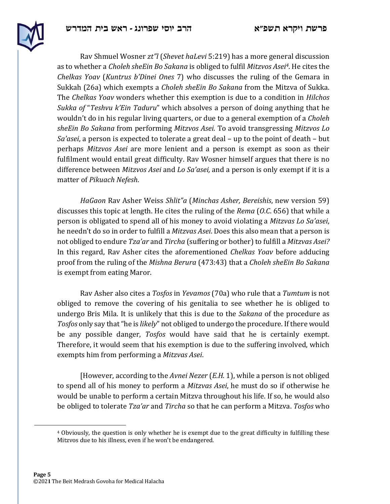

Rav Shmuel Wosner *zt"l* (*Shevet haLevi* 5:219) has a more general discussion as to whether a *Choleh sheEin Bo Sakana* is obliged to fulfil *Mitzvos Asei<sup>4</sup>*. He cites the *Chelkas Yoav* (*Kuntrus b'Dinei Ones* 7) who discusses the ruling of the Gemara in Sukkah (26a) which exempts a *Choleh sheEin Bo Sakana* from the Mitzva of Sukka. The *Chelkas Yoav* wonders whether this exemption is due to a condition in *Hilchos Sukka of* "*Teshvu k'Ein Taduru*" which absolves a person of doing anything that he wouldn't do in his regular living quarters, or due to a general exemption of a *Choleh sheEin Bo Sakana* from performing *Mitzvos Asei*. To avoid transgressing *Mitzvos Lo Sa'asei*, a person is expected to tolerate a great deal – up to the point of death – but perhaps *Mitzvos Asei* are more lenient and a person is exempt as soon as their fulfilment would entail great difficulty. Ray Wosner himself argues that there is no difference between *Mitzvos Asei* and *Lo Sa'asei*, and a person is only exempt if it is a matter of *Pikuach Nefesh*.

*HaGaon* Rav Asher Weiss *Shlit"a (Minchas Asher, Bereishis*, new version 59) discusses this topic at length. He cites the ruling of the *Rema* (*O.C.* 656) that while a person is obligated to spend all of his money to avoid violating a *Mitzvas Lo Sa'asei*, he needn't do so in order to fulfill a *Mitzvas Asei*. Does this also mean that a person is not obliged to endure *Tza'ar* and *Tircha* (suffering or bother) to fulfill a Mitzvas Asei? In this regard, Rav Asher cites the aforementioned *Chelkas Yoav* before adducing proof from the ruling of the Mishna Berura (473:43) that a *Choleh sheEin Bo Sakana* is exempt from eating Maror.

Rav Asher also cites a *Tosfos* in *Yevamos* (70a) who rule that a *Tumtum* is not obliged to remove the covering of his genitalia to see whether he is obliged to undergo Bris Mila. It is unlikely that this is due to the *Sakana* of the procedure as Tosfos only say that "he is *likely*" not obliged to undergo the procedure. If there would be any possible danger, *Tosfos* would have said that he is certainly exempt. Therefore, it would seem that his exemption is due to the suffering involved, which exempts him from performing a Mitzvas Asei.

[However, according to the *Avnei Nezer* (*E.H.* 1), while a person is not obliged to spend all of his money to perform a *Mitzvas Asei*, he must do so if otherwise he would be unable to perform a certain Mitzva throughout his life. If so, he would also be obliged to tolerate *Tza'ar* and *Tircha* so that he can perform a Mitzva. *Tosfos* who

 $4$  Obviously, the question is only whether he is exempt due to the great difficulty in fulfilling these Mitzvos due to his illness, even if he won't be endangered.